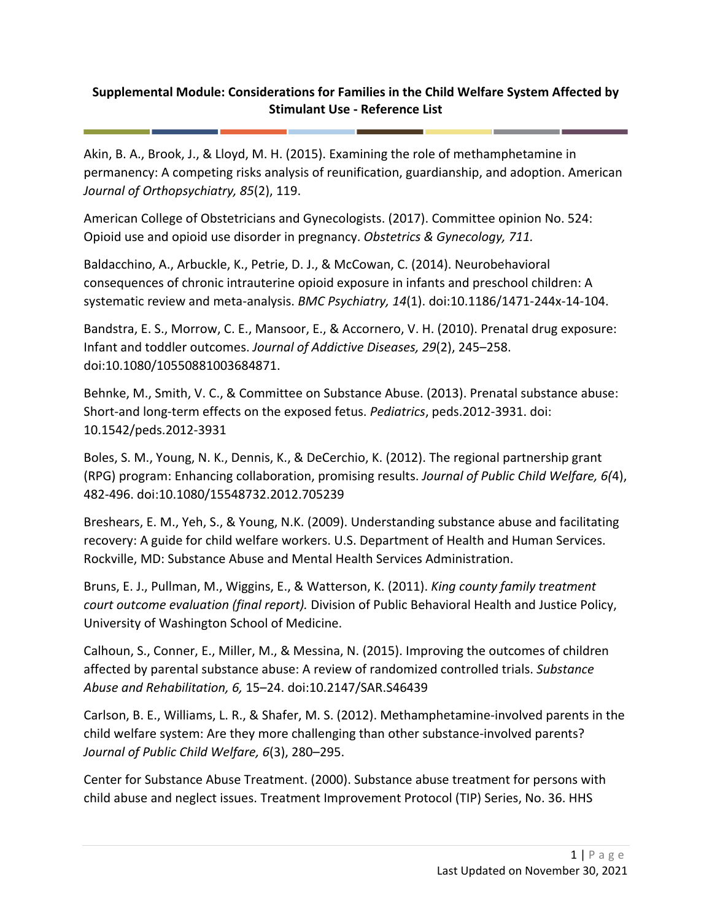## **Supplemental Module: Considerations for Families in the Child Welfare System Affected by Stimulant Use - Reference List**

Akin, B. A., Brook, J., & Lloyd, M. H. (2015). Examining the role of methamphetamine in permanency: A competing risks analysis of reunification, guardianship, and adoption. American *Journal of Orthopsychiatry, 85*(2), 119.

American College of Obstetricians and Gynecologists. (2017). Committee opinion No. 524: Opioid use and opioid use disorder in pregnancy. *Obstetrics & Gynecology, 711.*

Baldacchino, A., Arbuckle, K., Petrie, D. J., & McCowan, C. (2014). Neurobehavioral consequences of chronic intrauterine opioid exposure in infants and preschool children: A systematic review and meta-analysis. *BMC Psychiatry, 14*(1). doi:10.1186/1471-244x-14-104.

Bandstra, E. S., Morrow, C. E., Mansoor, E., & Accornero, V. H. (2010). Prenatal drug exposure: Infant and toddler outcomes. *Journal of Addictive Diseases, 29*(2), 245–258. doi:10.1080/10550881003684871.

Behnke, M., Smith, V. C., & Committee on Substance Abuse. (2013). Prenatal substance abuse: Short-and long-term effects on the exposed fetus. *Pediatrics*, peds.2012-3931. doi: 10.1542/peds.2012-3931

Boles, S. M., Young, N. K., Dennis, K., & DeCerchio, K. (2012). The regional partnership grant (RPG) program: Enhancing collaboration, promising results. *Journal of Public Child Welfare, 6(*4), 482-496. doi:10.1080/15548732.2012.705239

Breshears, E. M., Yeh, S., & Young, N.K. (2009). Understanding substance abuse and facilitating recovery: A guide for child welfare workers. U.S. Department of Health and Human Services. Rockville, MD: Substance Abuse and Mental Health Services Administration.

Bruns, E. J., Pullman, M., Wiggins, E., & Watterson, K. (2011). *King county family treatment court outcome evaluation (final report).* Division of Public Behavioral Health and Justice Policy, University of Washington School of Medicine.

Calhoun, S., Conner, E., Miller, M., & Messina, N. (2015). Improving the outcomes of children affected by parental substance abuse: A review of randomized controlled trials. *Substance Abuse and Rehabilitation, 6,* 15–24. doi:10.2147/SAR.S46439

Carlson, B. E., Williams, L. R., & Shafer, M. S. (2012). Methamphetamine-involved parents in the child welfare system: Are they more challenging than other substance-involved parents? *Journal of Public Child Welfare, 6*(3), 280–295.

Center for Substance Abuse Treatment. (2000). Substance abuse treatment for persons with child abuse and neglect issues. Treatment Improvement Protocol (TIP) Series, No. 36. HHS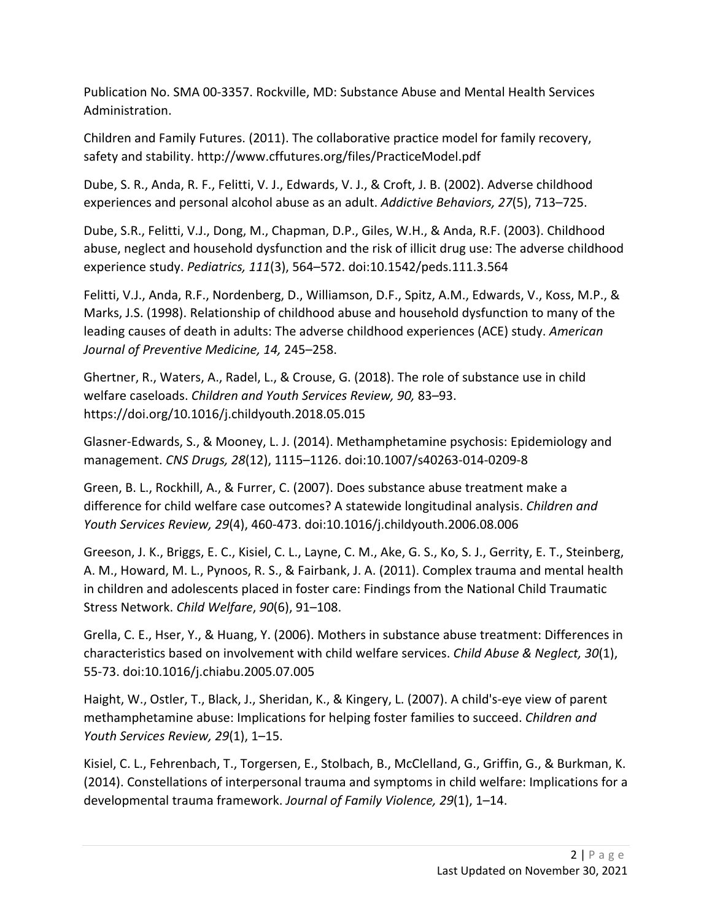Publication No. SMA 00-3357. Rockville, MD: Substance Abuse and Mental Health Services Administration.

Children and Family Futures. (2011). The collaborative practice model for family recovery, safety and stability. http://www.cffutures.org/files/PracticeModel.pdf

Dube, S. R., Anda, R. F., Felitti, V. J., Edwards, V. J., & Croft, J. B. (2002). Adverse childhood experiences and personal alcohol abuse as an adult. *Addictive Behaviors, 27*(5), 713–725.

Dube, S.R., Felitti, V.J., Dong, M., Chapman, D.P., Giles, W.H., & Anda, R.F. (2003). Childhood abuse, neglect and household dysfunction and the risk of illicit drug use: The adverse childhood experience study. *Pediatrics, 111*(3), 564–572. doi:10.1542/peds.111.3.564

Felitti, V.J., Anda, R.F., Nordenberg, D., Williamson, D.F., Spitz, A.M., Edwards, V., Koss, M.P., & Marks, J.S. (1998). Relationship of childhood abuse and household dysfunction to many of the leading causes of death in adults: The adverse childhood experiences (ACE) study. *American Journal of Preventive Medicine, 14,* 245–258.

Ghertner, R., Waters, A., Radel, L., & Crouse, G. (2018). The role of substance use in child welfare caseloads. *Children and Youth Services Review, 90,* 83–93. https://doi.org/10.1016/j.childyouth.2018.05.015

Glasner-Edwards, S., & Mooney, L. J. (2014). Methamphetamine psychosis: Epidemiology and management. *CNS Drugs, 28*(12), 1115–1126. doi:10.1007/s40263-014-0209-8

Green, B. L., Rockhill, A., & Furrer, C. (2007). Does substance abuse treatment make a difference for child welfare case outcomes? A statewide longitudinal analysis. *Children and Youth Services Review, 29*(4), 460-473. doi:10.1016/j.childyouth.2006.08.006

Greeson, J. K., Briggs, E. C., Kisiel, C. L., Layne, C. M., Ake, G. S., Ko, S. J., Gerrity, E. T., Steinberg, A. M., Howard, M. L., Pynoos, R. S., & Fairbank, J. A. (2011). Complex trauma and mental health in children and adolescents placed in foster care: Findings from the National Child Traumatic Stress Network. *Child Welfare*, *90*(6), 91–108.

Grella, C. E., Hser, Y., & Huang, Y. (2006). Mothers in substance abuse treatment: Differences in characteristics based on involvement with child welfare services. *Child Abuse & Neglect, 30*(1), 55-73. doi:10.1016/j.chiabu.2005.07.005

Haight, W., Ostler, T., Black, J., Sheridan, K., & Kingery, L. (2007). A child's-eye view of parent methamphetamine abuse: Implications for helping foster families to succeed. *Children and Youth Services Review, 29*(1), 1–15.

Kisiel, C. L., Fehrenbach, T., Torgersen, E., Stolbach, B., McClelland, G., Griffin, G., & Burkman, K. (2014). Constellations of interpersonal trauma and symptoms in child welfare: Implications for a developmental trauma framework. *Journal of Family Violence, 29*(1), 1–14.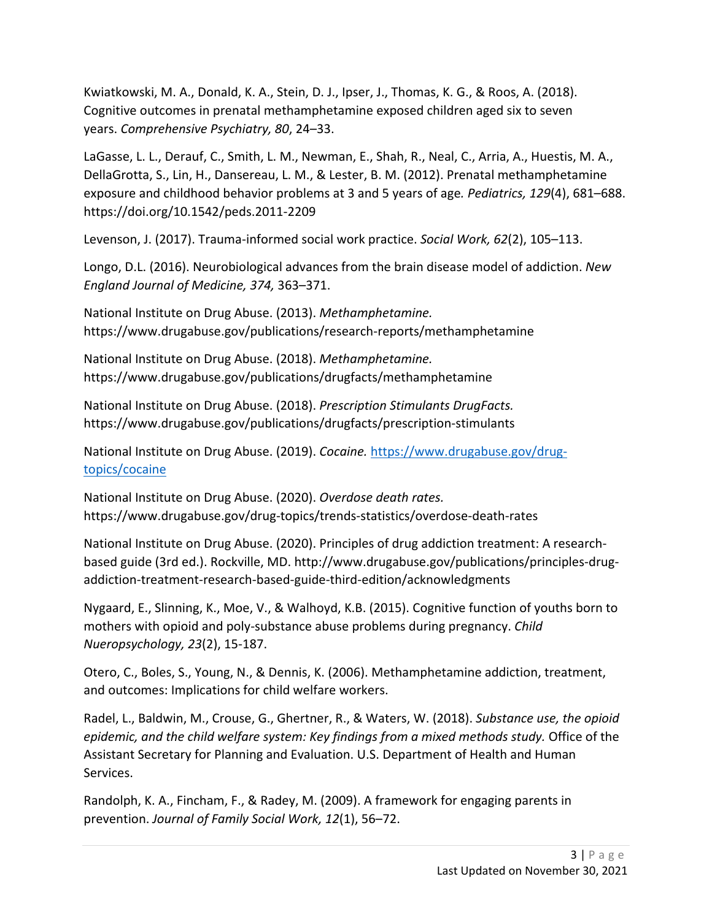Kwiatkowski, M. A., Donald, K. A., Stein, D. J., Ipser, J., Thomas, K. G., & Roos, A. (2018). Cognitive outcomes in prenatal methamphetamine exposed children aged six to seven years. *Comprehensive Psychiatry, 80*, 24–33.

LaGasse, L. L., Derauf, C., Smith, L. M., Newman, E., Shah, R., Neal, C., Arria, A., Huestis, M. A., DellaGrotta, S., Lin, H., Dansereau, L. M., & Lester, B. M. (2012). Prenatal methamphetamine exposure and childhood behavior problems at 3 and 5 years of age*. Pediatrics, 129*(4), 681–688. https://doi.org/10.1542/peds.2011-2209

Levenson, J. (2017). Trauma-informed social work practice. *Social Work, 62*(2), 105–113.

Longo, D.L. (2016). Neurobiological advances from the brain disease model of addiction. *New England Journal of Medicine, 374,* 363–371.

National Institute on Drug Abuse. (2013). *Methamphetamine.* https://www.drugabuse.gov/publications/research-reports/methamphetamine

National Institute on Drug Abuse. (2018). *Methamphetamine.* https://www.drugabuse.gov/publications/drugfacts/methamphetamine

National Institute on Drug Abuse. (2018). *Prescription Stimulants DrugFacts.* https://www.drugabuse.gov/publications/drugfacts/prescription-stimulants

National Institute on Drug Abuse. (2019). *Cocaine.* [https://www.drugabuse.gov/drug](https://www.drugabuse.gov/drug-topics/cocaine)[topics/cocaine](https://www.drugabuse.gov/drug-topics/cocaine)

National Institute on Drug Abuse. (2020). *Overdose death rates.* https://www.drugabuse.gov/drug-topics/trends-statistics/overdose-death-rates

National Institute on Drug Abuse. (2020). Principles of drug addiction treatment: A researchbased guide (3rd ed.). Rockville, MD. http://www.drugabuse.gov/publications/principles-drugaddiction-treatment-research-based-guide-third-edition/acknowledgments

Nygaard, E., Slinning, K., Moe, V., & Walhoyd, K.B. (2015). Cognitive function of youths born to mothers with opioid and poly-substance abuse problems during pregnancy. *Child Nueropsychology, 23*(2), 15-187.

Otero, C., Boles, S., Young, N., & Dennis, K. (2006). Methamphetamine addiction, treatment, and outcomes: Implications for child welfare workers.

Radel, L., Baldwin, M., Crouse, G., Ghertner, R., & Waters, W. (2018). *Substance use, the opioid epidemic, and the child welfare system: Key findings from a mixed methods study.* Office of the Assistant Secretary for Planning and Evaluation. U.S. Department of Health and Human Services.

Randolph, K. A., Fincham, F., & Radey, M. (2009). A framework for engaging parents in prevention. *Journal of Family Social Work, 12*(1), 56–72.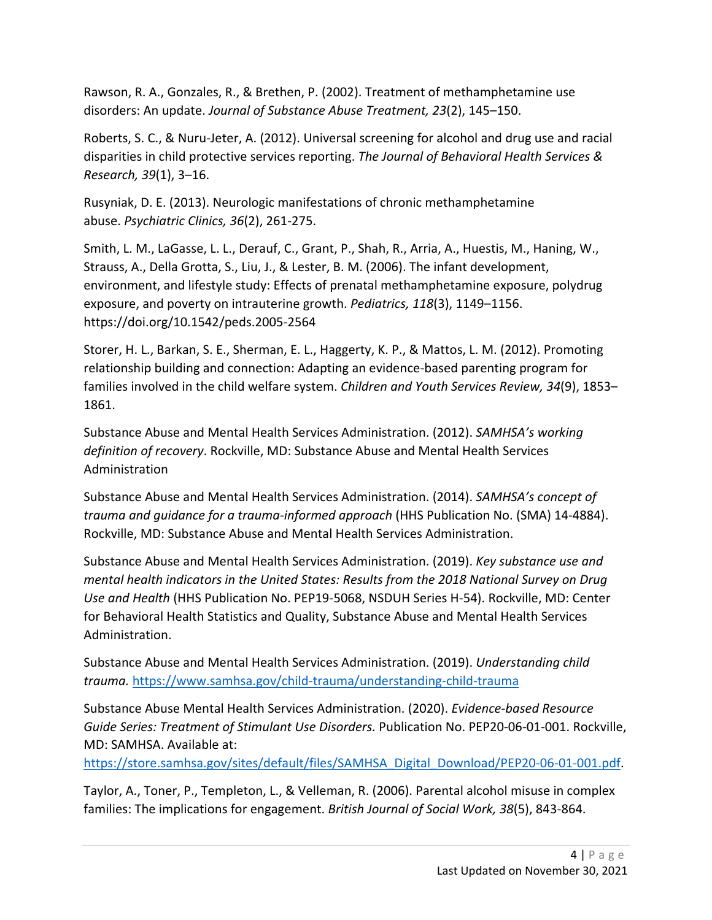Rawson, R. A., Gonzales, R., & Brethen, P. (2002). Treatment of methamphetamine use disorders: An update. *Journal of Substance Abuse Treatment, 23*(2), 145–150.

Roberts, S. C., & Nuru-Jeter, A. (2012). Universal screening for alcohol and drug use and racial disparities in child protective services reporting. *The Journal of Behavioral Health Services & Research, 39*(1), 3–16.

Rusyniak, D. E. (2013). Neurologic manifestations of chronic methamphetamine abuse. *Psychiatric Clinics, 36*(2), 261-275.

Smith, L. M., LaGasse, L. L., Derauf, C., Grant, P., Shah, R., Arria, A., Huestis, M., Haning, W., Strauss, A., Della Grotta, S., Liu, J., & Lester, B. M. (2006). The infant development, environment, and lifestyle study: Effects of prenatal methamphetamine exposure, polydrug exposure, and poverty on intrauterine growth. *Pediatrics, 118*(3), 1149–1156. https://doi.org/10.1542/peds.2005-2564

Storer, H. L., Barkan, S. E., Sherman, E. L., Haggerty, K. P., & Mattos, L. M. (2012). Promoting relationship building and connection: Adapting an evidence-based parenting program for families involved in the child welfare system. *Children and Youth Services Review, 34*(9), 1853– 1861.

Substance Abuse and Mental Health Services Administration. (2012). *SAMHSA's working definition of recovery*. Rockville, MD: Substance Abuse and Mental Health Services Administration

Substance Abuse and Mental Health Services Administration. (2014). *SAMHSA's concept of trauma and guidance for a trauma-informed approach* (HHS Publication No. (SMA) 14-4884). Rockville, MD: Substance Abuse and Mental Health Services Administration.

Substance Abuse and Mental Health Services Administration. (2019). *Key substance use and mental health indicators in the United States: Results from the 2018 National Survey on Drug Use and Health* (HHS Publication No. PEP19-5068, NSDUH Series H-54). Rockville, MD: Center for Behavioral Health Statistics and Quality, Substance Abuse and Mental Health Services Administration.

Substance Abuse and Mental Health Services Administration. (2019). *Understanding child trauma.* <https://www.samhsa.gov/child-trauma/understanding-child-trauma>

Substance Abuse Mental Health Services Administration. (2020). *Evidence-based Resource Guide Series: Treatment of Stimulant Use Disorders.* Publication No. PEP20-06-01-001. Rockville, MD: SAMHSA. Available at:

[https://store.samhsa.gov/sites/default/files/SAMHSA\\_Digital\\_Download/PEP20-06-01-001.pdf.](https://store.samhsa.gov/sites/default/files/SAMHSA_Digital_Download/PEP20-06-01-001.pdf)

Taylor, A., Toner, P., Templeton, L., & Velleman, R. (2006). Parental alcohol misuse in complex families: The implications for engagement. *British Journal of Social Work, 38*(5), 843-864.